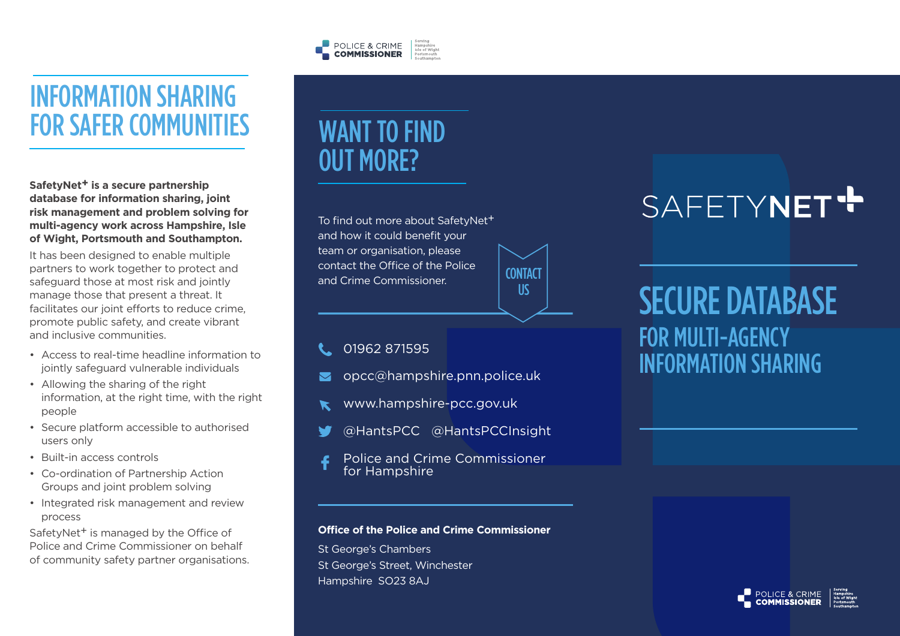

### INFORMATION SHARING FOR SAFER COMMUNITIES

**SafetyNet+ is a secure partnership database for information sharing, joint risk management and problem solving for multi-agency work across Hampshire, Isle of Wight, Portsmouth and Southampton.**

It has been designed to enable multiple partners to work together to protect and safeguard those at most risk and jointly manage those that present a threat. It facilitates our joint efforts to reduce crime, promote public safety, and create vibrant and inclusive communities.

- Access to real-time headline information to jointly safeguard vulnerable individuals
- Allowing the sharing of the right information, at the right time, with the right people
- Secure platform accessible to authorised users only
- Built-in access controls
- Co-ordination of Partnership Action Groups and joint problem solving
- Integrated risk management and review process

SafetyNet<sup>+</sup> is managed by the Office of Police and Crime Commissioner on behalf of community safety partner organisations.

### WANT TO FIND OUT MORE?

To find out more about SafetyNet<sup>+</sup> and how it could benefit your team or organisation, please contact the Office of the Police and Crime Commissioner.

**CONTACT** US

- 01962 871595
- opcc@hampshire.pnn.police.uk
- www.hampshire-pcc.gov.uk
- @HantsPCC @HantsPCCInsight
- Police and Crime Commissioner for Hampshire

## SAFFTYNET<sup>-</sup>

### SECURE DATABASE FOR MULTI-AGENCY INFORMATION SHARING

#### **Office of the Police and Crime Commissioner**

St George's Chambers St George's Street, Winchester Hampshire SO23 8AJ